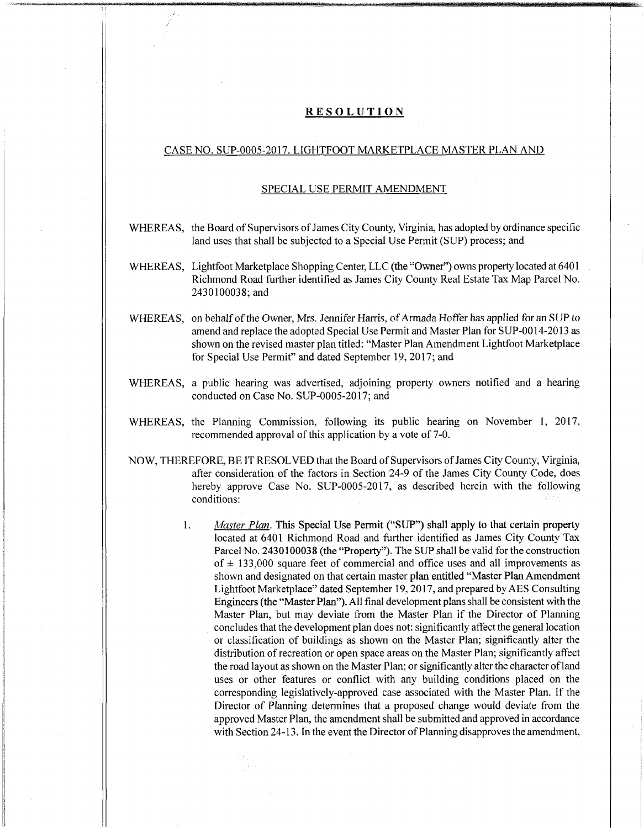### **RESOLUTION**

stfc,

# CASE NO. SUP-0005-2017. LIGHTFOOT MARKETPLACE MASTER PLAN AND

### SPECIAL USE PERMIT AMENDMENT

- WHEREAS, the Board of Supervisors of James City County, Virginia, has adopted by ordinance specific land uses that shall be subjected to a Special Use Permit (SUP) process; and
- WHEREAS, Lightfoot Marketplace Shopping Center, LLC (the "Owner") owns property located at 6401 Richmond Road further identified as James City County Real Estate Tax Map Parcel No. 2430100038;and
- WHEREAS, on behalf of the Owner, Mrs. Jennifer Harris, of Armada Hoffer has applied for an SUP to amend and replace the adopted Special Use Permit and Master Plan for SUP-0014-2013 as shown on the revised master plan titled: "Master Plan Amendment Lightfoot Marketplace for Special Use Permit" and dated September 19, 2017; and
- WHEREAS, a public hearing was advertised, adjoining property owners notified and a hearing conducted on Case No. SUP-0005-2017; and
- WHEREAS, the Planning Commission, following its public hearing on November 1, 2017, recommended approval of this application by a vote of 7-0.
- NOW, THEREFORE, BE IT RESOLVED that the Board ofSupervisors ofJames City County, Virginia, after consideration of the factors in Section 24-9 of the James City County Code, does hereby approve Case No. SUP-0005-2017, as described herein with the following conditions:
	- *Master Plan.* This Special Use Permit ("SUP") shall apply to that certain property located at 6401 Richmond Road and further identified as James City County Tax Parcel No. 2430100038 (the "Property"). The SUP shall be valid for the construction of  $\pm$  133,000 square feet of commercial and office uses and all improvements as shown and designated on that certain master plan entitled "Master Plan Amendment Lightfoot Marketplace" dated September 19, 2017, and prepared byAES Consulting Engineers (the "Master Plan"). All final development plans shall be consistent with the Master Plan, but may deviate from the Master Plan if the Director of Planning concludesthat the development plan does not: significantly affect the general location or classification of buildings as shown on the Master Plan; significantly alter the distribution of recreation or open space areas on the Master Plan; significantly affect the road layout as shown on the Master Plan; or significantly alter the character of land uses or other features or conflict with any building conditions placed on the corresponding legislatively-approved case associated with the Master Plan. If the Director of Planning determines that a proposed change would deviate from the approved Master Plan, the amendment shall be submitted and approved in accordance with Section 24-13. In the event the Director of Planning disapproves the amendment, 1.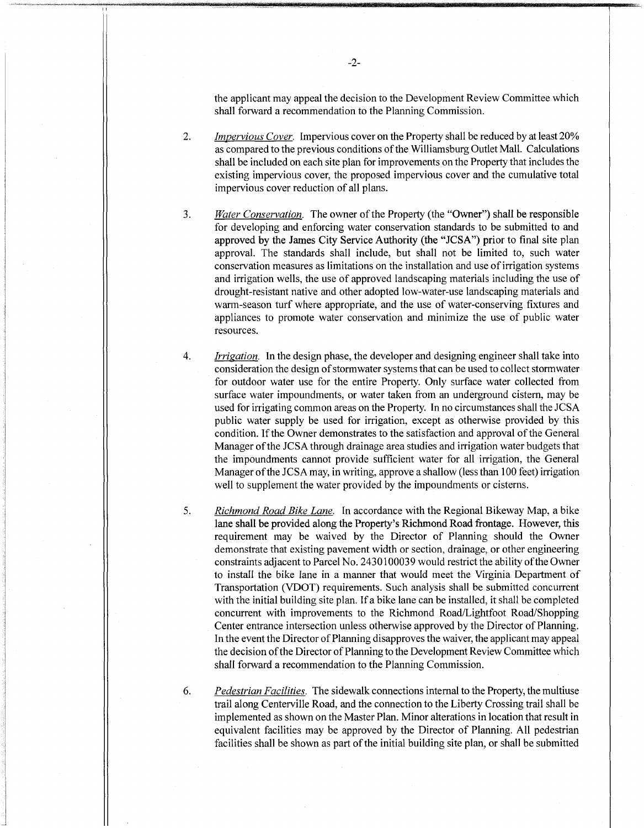the applicant may appeal the decision to the Development Review Committee which shall forward a recommendation to the Planning Commission.

- *Impervious Cover.* Impervious cover on the Property shall be reduced by at least 20% as compared to the previous conditions of the Williamsburg Outlet Mall. Calculations shall be included on each site plan for improvements on the Property that includes the existing impervious cover, the proposed impervious cover and the cumulative total impervious cover reduction of all plans. **2.**
- *Water Conservation.* The owner of the Property (the "Owner") shall be responsible for developing and enforcing water conservation standards to be submitted to and approved by the James City Service Authority (the "JCSA") prior to final site plan approval. The standards shall include, but shall not be limited to, such water conservation measures as limitations on the installation and use ofirrigation systems and irrigation wells, the use of approved landscaping materials including the use of drought-resistant native and other adopted low-water-use landscaping materials and warm-season turf where appropriate, and the use of water-conserving fixtures and appliances to promote water conservation and minimize the use of public water resources. **3.**
- *Irrigation.* In the design phase, the developer and designing engineer shall take into consideration the design of stormwater systems that can be used to collect stormwater for outdoor water use for the entire Property. Only surface water collected from surface water impoundments, or water taken from an underground cistern, may be used for irrigating common areas on the Property. In no circumstances shall the JCSA public water supply be used for irrigation, except as otherwise provided by this condition. If the Owner demonstrates to the satisfaction and approval of the General Manager ofthe JCSA through drainage area studies and irrigation water budgets that the impoundments cannot provide sufficient water for all irrigation, the General Manager of the JCSA may, in writing, approve a shallow (less than 100 feet) irrigation well to supplement the water provided by the impoundments or cisterns. **4.**
- *Richmond Road Bike Lane.* In accordance with the Regional Bikeway Map, a bike lane shall be provided along the Property's Richmond Road frontage. However, this requirement may be waived by the Director of Planning should the Owner demonstrate that existing pavement width or section, drainage, or other engineering constraints adjacent to Parcel No. 2430100039 would restrict the ability ofthe Owner to install the bike lane in a manner that would meet the Virginia Department of Transportation (VDOT) requirements. Such analysis shall be submitted concurrent with the initial building site plan. If a bike lane can be installed, it shall be completed concurrent with improvements to the Richmond Road/Lightfoot Road/Shopping Center entrance intersection unless otherwise approved by the Director of Planning. In the event the Director of Planning disapproves the waiver, the applicant may appeal the decision of the Director of Planning to the Development Review Committee which shall forward a recommendation to the Planning Commission. 5.
	- *Pedestrian Facilities.* The sidewalk connections internal to the Property, the multiuse trail along Centerville Road, and the connection to the Liberty Crossing trail shall be implemented as shown on the Master Plan. Minor alterations in location that result in equivalent facilities may be approved by the Director of Planning. All pedestrian facilities shall be shown as part of the initial building site plan, or shall be submitted

6.

■Mma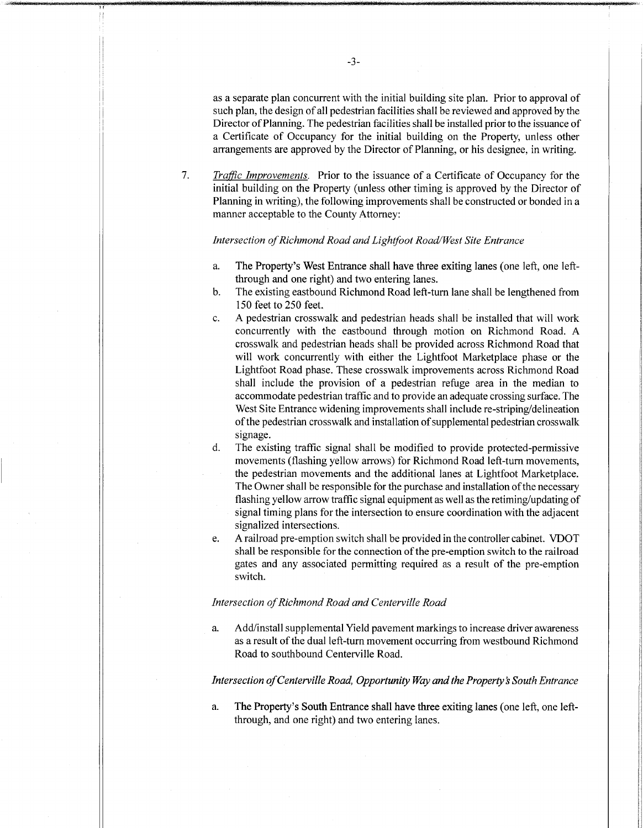as a separate plan concurrent with the initial building site plan. Prior to approval of such plan, the design of all pedestrian facilities shall be reviewed and approved by the Director of Planning. The pedestrian facilities shall be installed prior to the issuance of a Certificate of Occupancy for the initial building on the Property, unless other arrangements are approved by the Director of Planning, or his designee, in writing.

*Traffic Improvements.* Prior to the issuance of a Certificate of Occupancy for the initial building on the Property (unless other timing is approved by the Director of Planning in writing), the following improvements shall be constructed or bonded in a manner acceptable to the County Attorney: **7.**

### *Intersection ofRichmond Road andLightfoot Road/West Site Entrance*

- The Property's West Entrance shall have three exiting lanes (one left, one leftthrough and one right) and two entering lanes. a.
- The existing eastbound Richmond Road left-turn lane shall be lengthened from 150 feet to 250 feet. b.
- A pedestrian crosswalk and pedestrian heads shall be installed that will work concurrently with the eastbound through motion on Richmond Road. A crosswalk and pedestrian heads shall be provided across Richmond Road that will work concurrently with either the Lightfoot Marketplace phase or the Lightfoot Road phase. These crosswalk improvements across Richmond Road shall include the provision of a pedestrian refuge area in the median to accommodate pedestrian traffic and to provide an adequate crossing surface. The West Site Entrance widening improvements shall include re-striping/delineation of the pedestrian crosswalk and installation of supplemental pedestrian crosswalk signage. **c.**
- The existing traffic signal shall be modified to provide protected-permissive movements (flashing yellow arrows) for Richmond Road left-turn movements, the pedestrian movements and the additional lanes at Lightfoot Marketplace. The Owner shall be responsible for the purchase and installation of the necessary flashing yellow arrow traffic signal equipment as well asthe retiming/updating of signal timing plans for the intersection to ensure coordination with the adjacent signalized intersections. d.
- A railroad pre-emption switch shall be provided in the controller cabinet. VDOT shall be responsible for the connection of the pre-emption switch to the railroad gates and any associated permitting required as a result of the pre-emption switch. e.

#### *Intersection ofRichmond Road and Centerville Road*

a. Add/install supplemental Yield pavement markings to increase driver awareness as a result of the dual left-turn movement occurring from westbound Richmond Road to southbound Centerville Road.

### *Intersection ofCenterville Road, Opportunity Way andthe Property's South Entrance*

The Property's South Entrance shall have three exiting lanes (one left, one leftthrough, and one right) and two entering lanes. a.

**! r**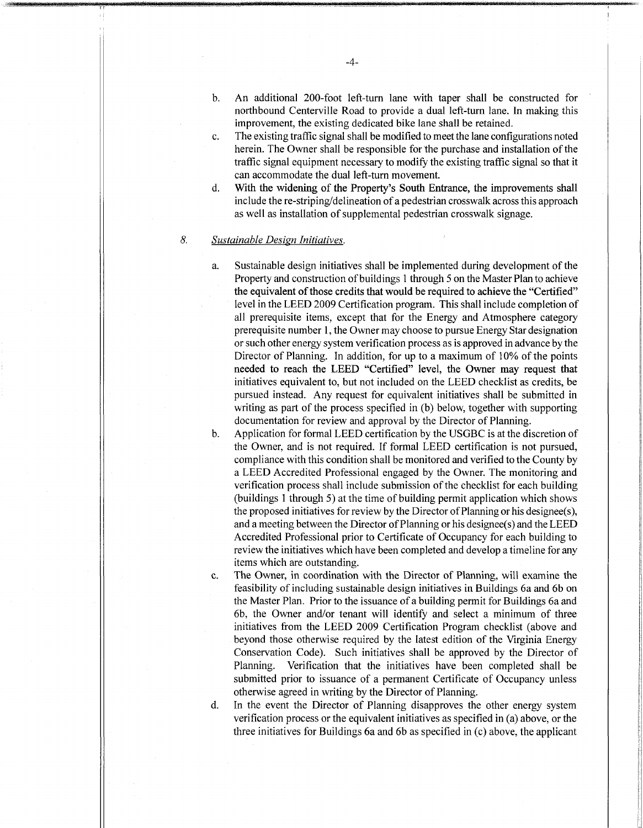- An additional 200-foot left-turn lane with taper shall be constructed for northbound Centerville Road to provide a dual left-turn lane. In making this improvement, the existing dedicated bike lane shall be retained. b.
- The existing traffic signal shall be modified to meet the lane configurations noted herein. The Owner shall be responsible for the purchase and installation of the traffic signal equipment necessary to modify the existing traffic signal so that it can accommodate the dual left-turn movement. **c.**
- With the widening of the Property ' s South Entrance, the improvements shall include the re-striping/delineation of a pedestrian crosswalk across this approach as well as installation of supplemental pedestrian crosswalk signage. d.

# *8. Sustainable Design Initiatives.*

**.a**

- a. Sustainable design initiatives shall be implemented during development of the Property and construction of buildings 1 through 5 on the Master Plan to achieve the equivalent of those credits that would be required to achieve the "Certified" level in the LEED 2009 Certification program. This shall include completion of all prerequisite items, except that for the Energy and Atmosphere category prerequisite number 1, the Owner may choose to pursue Energy Star designation or such other energy system verification process as is approved in advance by the Director of Planning. In addition, for up to a maximum of 10% of the points needed to reach the LEED "Certified " level, the Owner may request that initiatives equivalent to, but not included on the LEED checklist as credits, be pursued instead. Any request for equivalent initiatives shall be submitted in writing as part of the process specified in (b) below, together with supporting documentation for review and approval by the Director of Planning.
- b. Application for formal LEED certification by the USGBC is at the discretion of the Owner, and is not required. If formal LEED certification is not pursued, compliance with this condition shall be monitored and verified to the County by a LEED Accredited Professional engaged by the Owner. The monitoring and verification process shall include submission of the checklist for each building (buildings <sup>1</sup> through 5) at the time of building permit application which shows the proposed initiatives for review by the Director ofPlanning or his designee(s), and a meeting between the Director ofPlanning or his designee(s) and the LEED Accredited Professional prior to Certificate of Occupancy for each building to review the initiatives which have been completed and develop a timeline for any items which are outstanding.
- c. The Owner, in coordination with the Director of Planning, will examine the feasibility of including sustainable design initiatives in Buildings 6a and 6b on the Master Plan. Prior to the issuance of a building permit for Buildings 6a and 6b, the Owner and/or tenant will identify and select a minimum of three initiatives from the LEED 2009 Certification Program checklist (above and beyond those otherwise required by the latest edition of the Virginia Energy Conservation Code). Such initiatives shall be approved by the Director of Planning. Verification that the initiatives have been completed shall be submitted prior to issuance of a permanent Certificate of Occupancy unless otherwise agreed in writing by the Director of Planning.

d. In the event the Director of Planning disapproves the other energy system verification process or the equivalent initiatives as specified in (a) above, or the three initiatives for Buildings 6a and 6b as specified in (c) above, the applicant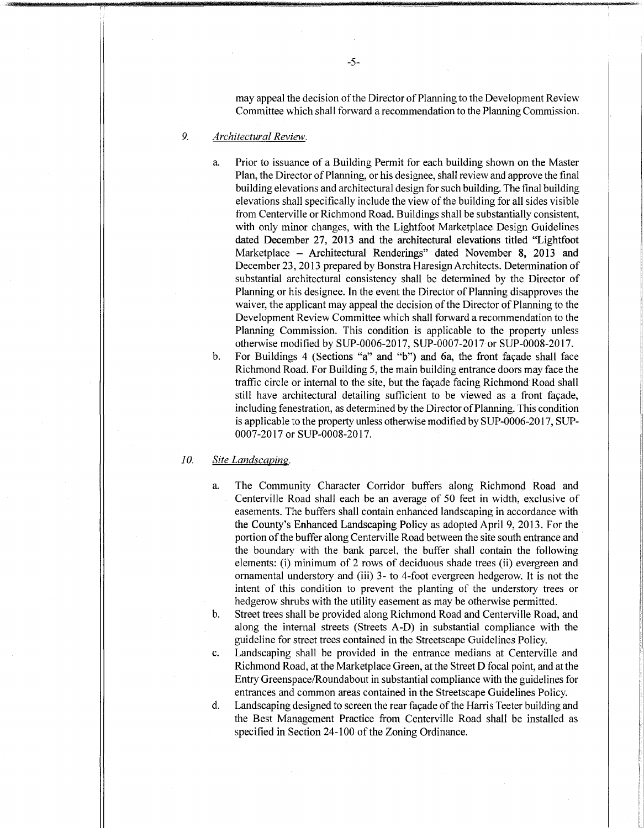may appeal the decision of the Director of Planning to the Development Review Committee which shall forward a recommendation to the Planning Commission.

# *9. Architectural Review.*

a. Prior to issuance of a Building Permit for each building shown on the Master Plan, the Director of Planning, or his designee, shall review and approve the final building elevations and architectural design for such building. The final building elevations shall specifically include the view of the building for all sides visible from Centerville or Richmond Road. Buildings shall be substantially consistent, with only minor changes, with the Lightfoot Marketplace Design Guidelines dated December 27, 2013 and the architectural elevations titled "Lightfoot Marketplace - Architectural Renderings" dated November 8, 2013 and December 23, 2013 prepared by Bonstra Haresign Architects. Determination of substantial architectural consistency shall be determined by the Director of Planning or his designee. In the event the Director of Planning disapproves the waiver, the applicant may appeal the decision of the Director of Planning to the Development Review Committee which shall forward a recommendation to the Planning Commission. This condition is applicable to the property unless otherwise modified by SUP-0006-2017, SUP-0007-2017 or SUP-0008-2017.

b. For Buildings 4 (Sections "a" and "b") and 6a, the front facade shall face Richmond Road. For Building 5, the main building entrance doors may face the traffic circle or internal to the site, but the fagade facing Richmond Road shall still have architectural detailing sufficient to be viewed as a front fagade, including fenestration, as determined by the Director of Planning. This condition is applicable to the property unless otherwise modified by SUP-0006-2017, SUP-0007-20 17 or SUP-0008-2017.

## *10. Site Landscaping.*

a. The Community Character Corridor buffers along Richmond Road and Centerville Road shall each be an average of 50 feet in width, exclusive of easements. The buffers shall contain enhanced landscaping in accordance with the County's Enhanced Landscaping Policy as adopted April 9, 2013. For the portion of the buffer along Centerville Road between the site south entrance and the boundary with the bank parcel, the buffer shall contain the following elements: (i) minimum of 2 rows of deciduous shade trees (ii) evergreen and ornamental understory and (iii) 3- to 4-foot evergreen hedgerow. It is not the intent of this condition to prevent the planting of the understory trees or hedgerow shrubs with the utility easement as may be otherwise permitted.

b. Street trees shall be provided along Richmond Road and Centerville Road, and along the internal streets (Streets A-D) in substantial compliance with the guideline for street trees contained in the Streetscape Guidelines Policy.

c. Landscaping shall be provided in the entrance medians at Centerville and Richmond Road, at the Marketplace Green, at the Street D focal point, and at the Entry Greenspace/Roundabout in substantial compliance with the guidelines for entrances and common areas contained in the Streetscape Guidelines Policy.

d. Landscaping designed to screen the rear façade of the Harris Teeter building and the Best Management Practice from Centerville Road shall be installed as specified in Section 24-100 of the Zoning Ordinance.

**u**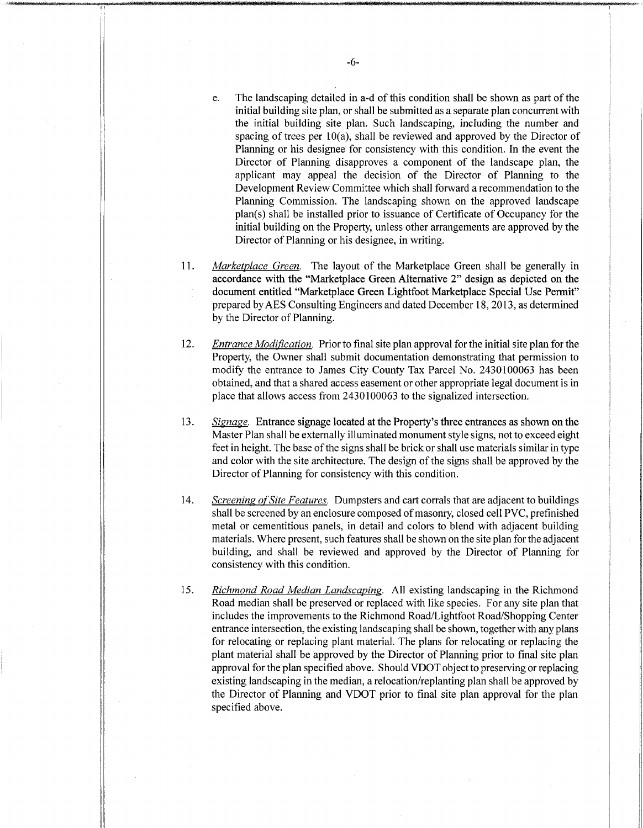- e. The landscaping detailed in a-d of this condition shall be shown as part of the initial building site plan, or shall be submitted as a separate plan concurrent with the initial building site plan. Such landscaping, including the number and spacing of trees per  $10(a)$ , shall be reviewed and approved by the Director of Planning or his designee for consistency with this condition. In the event the Director of Planning disapproves a component of the landscape plan, the applicant may appeal the decision of the Director of Planning to the Development Review Committee which shall forward a recommendation to the Planning Commission. The landscaping shown on the approved landscape plan(s) shall be installed prior to issuance of Certificate of Occupancy for the initial building on the Property, unless other arrangements are approved by the Director of Planning or his designee, in writing.
- *Marketplace Green.* The layout of the Marketplace Green shall be generally in accordance with the "Marketplace Green Alternative 2" design as depicted on the document entitled "Marketplace Green Lightfoot Marketplace Special Use Permit" prepared byAES Consulting Engineers and dated December 18, 2013, as determined by the Director of Planning. 11.
- *Entrance Modification*. Prior to final site plan approval for the initial site plan for the Property, the Owner shall submit documentation demonstrating that permission to modify the entrance to James City County Tax Parcel No. 2430100063 has been obtained, and that a shared access easement or other appropriate legal document is in place that allows access from 2430100063 to the signalized intersection. 12.
- *Signage.* Entrance signage located atthe Property's three entrances as shown on the Master Plan shall be externally illuminated monument style signs, not to exceed eight feet in height. The base of the signs shall be brick or shall use materials similar in type and color with the site architecture. The design of the signs shall be approved by the Director of Planning for consistency with this condition. 13.
- *Screening of Site Features.* Dumpsters and cart corrals that are adjacent to buildings shall be screened by an enclosure composed of masonry, closed cell PVC, prefinished metal or cementitious panels, in detail and colors to blend with adjacent building materials. Where present, such features shall be shown on the site plan forthe adjacent building, and shall be reviewed and approved by the Director of Planning for consistency with this condition. 14.
- *Richmond Road Median Landscaping.* All existing landscaping in the Richmond Road median shall be preserved or replaced with like species. For any site plan that includes the improvements to the Richmond Road/Lightfoot Road/Shopping Center entrance intersection, the existing landscaping shall be shown, together with any plans for relocating or replacing plant material. The plans for relocating or replacing the plant material shall be approved by the Director of Planning prior to final site plan approval for the plan specified above. Should VDOT object to preserving or replacing existing landscaping in the median, a relocation/replanting plan shall be approved by the Director of Planning and VDOT prior to final site plan approval for the plan specified above. 15.